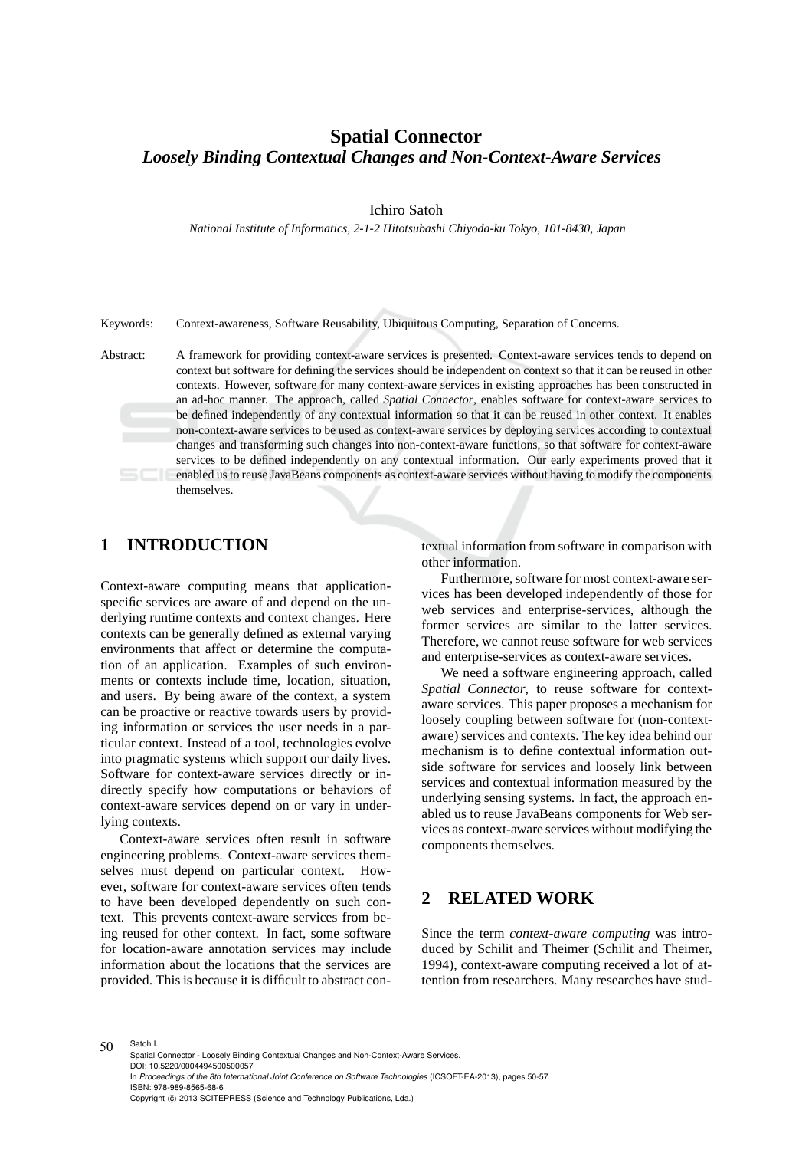# **Spatial Connector** *Loosely Binding Contextual Changes and Non-Context-Aware Services*

Ichiro Satoh

*National Institute of Informatics, 2-1-2 Hitotsubashi Chiyoda-ku Tokyo, 101-8430, Japan*

Keywords: Context-awareness, Software Reusability, Ubiquitous Computing, Separation of Concerns.

Abstract: A framework for providing context-aware services is presented. Context-aware services tends to depend on context but software for defining the services should be independent on context so that it can be reused in other contexts. However, software for many context-aware services in existing approaches has been constructed in an ad-hoc manner. The approach, called *Spatial Connector*, enables software for context-aware services to be defined independently of any contextual information so that it can be reused in other context. It enables non-context-aware services to be used as context-aware services by deploying services according to contextual changes and transforming such changes into non-context-aware functions, so that software for context-aware services to be defined independently on any contextual information. Our early experiments proved that it enabled us to reuse JavaBeans components as context-aware services without having to modify the components themselves.

## **1 INTRODUCTION**

Context-aware computing means that applicationspecific services are aware of and depend on the underlying runtime contexts and context changes. Here contexts can be generally defined as external varying environments that affect or determine the computation of an application. Examples of such environments or contexts include time, location, situation, and users. By being aware of the context, a system can be proactive or reactive towards users by providing information or services the user needs in a particular context. Instead of a tool, technologies evolve into pragmatic systems which support our daily lives. Software for context-aware services directly or indirectly specify how computations or behaviors of context-aware services depend on or vary in underlying contexts.

Context-aware services often result in software engineering problems. Context-aware services themselves must depend on particular context. However, software for context-aware services often tends to have been developed dependently on such context. This prevents context-aware services from being reused for other context. In fact, some software for location-aware annotation services may include information about the locations that the services are provided. This is because it is difficult to abstract contextual information from software in comparison with other information.

Furthermore, software for most context-aware services has been developed independently of those for web services and enterprise-services, although the former services are similar to the latter services. Therefore, we cannot reuse software for web services and enterprise-services as context-aware services.

We need a software engineering approach, called *Spatial Connector*, to reuse software for contextaware services. This paper proposes a mechanism for loosely coupling between software for (non-contextaware) services and contexts. The key idea behind our mechanism is to define contextual information outside software for services and loosely link between services and contextual information measured by the underlying sensing systems. In fact, the approach enabled us to reuse JavaBeans components for Web services as context-aware services without modifying the components themselves.

# **2 RELATED WORK**

Since the term *context-aware computing* was introduced by Schilit and Theimer (Schilit and Theimer, 1994), context-aware computing received a lot of attention from researchers. Many researches have stud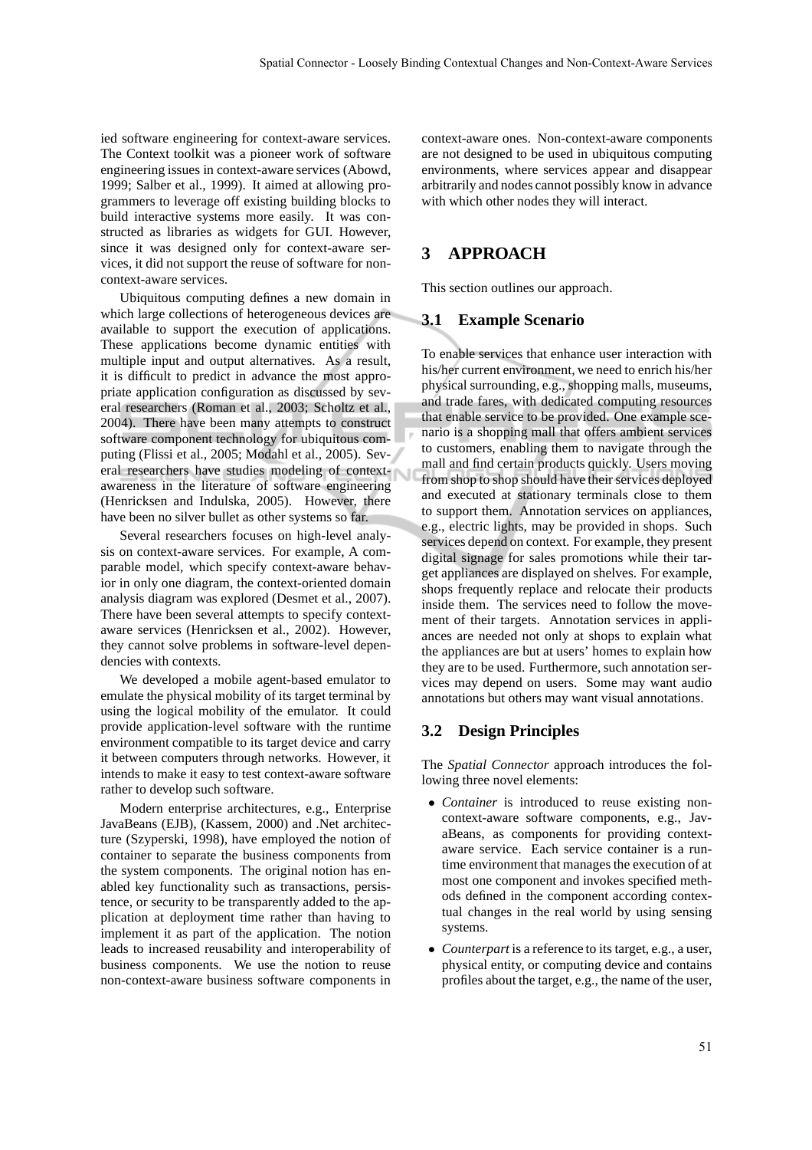ied software engineering for context-aware services. The Context toolkit was a pioneer work of software engineering issues in context-aware services (Abowd, 1999; Salber et al., 1999). It aimed at allowing programmers to leverage off existing building blocks to build interactive systems more easily. It was constructed as libraries as widgets for GUI. However, since it was designed only for context-aware services, it did not support the reuse of software for noncontext-aware services.

Ubiquitous computing defines a new domain in which large collections of heterogeneous devices are available to support the execution of applications. These applications become dynamic entities with multiple input and output alternatives. As a result, it is difficult to predict in advance the most appropriate application configuration as discussed by several researchers (Roman et al., 2003; Scholtz et al., 2004). There have been many attempts to construct software component technology for ubiquitous computing (Flissi et al., 2005; Modahl et al., 2005). Several researchers have studies modeling of contextawareness in the literature of software engineering (Henricksen and Indulska, 2005). However, there have been no silver bullet as other systems so far.

Several researchers focuses on high-level analysis on context-aware services. For example, A comparable model, which specify context-aware behavior in only one diagram, the context-oriented domain analysis diagram was explored (Desmet et al., 2007). There have been several attempts to specify contextaware services (Henricksen et al., 2002). However, they cannot solve problems in software-level dependencies with contexts.

We developed a mobile agent-based emulator to emulate the physical mobility of its target terminal by using the logical mobility of the emulator. It could provide application-level software with the runtime environment compatible to its target device and carry it between computers through networks. However, it intends to make it easy to test context-aware software rather to develop such software.

Modern enterprise architectures, e.g., Enterprise JavaBeans (EJB), (Kassem, 2000) and .Net architecture (Szyperski, 1998), have employed the notion of container to separate the business components from the system components. The original notion has enabled key functionality such as transactions, persistence, or security to be transparently added to the application at deployment time rather than having to implement it as part of the application. The notion leads to increased reusability and interoperability of business components. We use the notion to reuse non-context-aware business software components in context-aware ones. Non-context-aware components are not designed to be used in ubiquitous computing environments, where services appear and disappear arbitrarily and nodes cannot possibly know in advance with which other nodes they will interact.

## **3 APPROACH**

This section outlines our approach.

#### **3.1 Example Scenario**

To enable services that enhance user interaction with his/her current environment, we need to enrich his/her physical surrounding, e.g., shopping malls, museums, and trade fares, with dedicated computing resources that enable service to be provided. One example scenario is a shopping mall that offers ambient services to customers, enabling them to navigate through the mall and find certain products quickly. Users moving from shop to shop should have their services deployed and executed at stationary terminals close to them to support them. Annotation services on appliances, e.g., electric lights, may be provided in shops. Such services depend on context. For example, they present digital signage for sales promotions while their target appliances are displayed on shelves. For example, shops frequently replace and relocate their products inside them. The services need to follow the movement of their targets. Annotation services in appliances are needed not only at shops to explain what the appliances are but at users' homes to explain how they are to be used. Furthermore, such annotation services may depend on users. Some may want audio annotations but others may want visual annotations.

#### **3.2 Design Principles**

The *Spatial Connector* approach introduces the following three novel elements:

- *Container* is introduced to reuse existing noncontext-aware software components, e.g., JavaBeans, as components for providing contextaware service. Each service container is a runtime environment that manages the execution of at most one component and invokes specified methods defined in the component according contextual changes in the real world by using sensing systems.
- *Counterpart* is a reference to its target, e.g., a user, physical entity, or computing device and contains profiles about the target, e.g., the name of the user,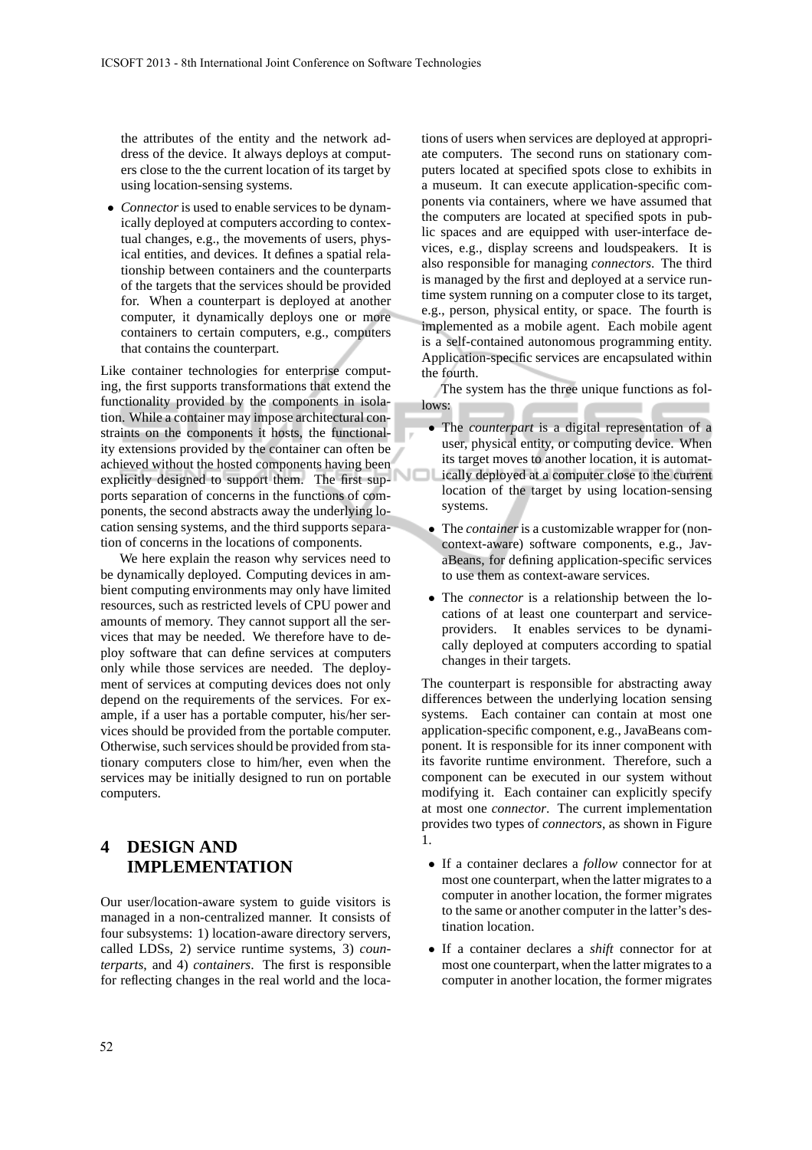the attributes of the entity and the network address of the device. It always deploys at computers close to the the current location of its target by using location-sensing systems.

• *Connector*is used to enable services to be dynamically deployed at computers according to contextual changes, e.g., the movements of users, physical entities, and devices. It defines a spatial relationship between containers and the counterparts of the targets that the services should be provided for. When a counterpart is deployed at another computer, it dynamically deploys one or more containers to certain computers, e.g., computers that contains the counterpart.

Like container technologies for enterprise computing, the first supports transformations that extend the functionality provided by the components in isolation. While a container may impose architectural constraints on the components it hosts, the functionality extensions provided by the container can often be achieved without the hosted components having been explicitly designed to support them. The first supports separation of concerns in the functions of components, the second abstracts away the underlying location sensing systems, and the third supports separation of concerns in the locations of components.

We here explain the reason why services need to be dynamically deployed. Computing devices in ambient computing environments may only have limited resources, such as restricted levels of CPU power and amounts of memory. They cannot support all the services that may be needed. We therefore have to deploy software that can define services at computers only while those services are needed. The deployment of services at computing devices does not only depend on the requirements of the services. For example, if a user has a portable computer, his/her services should be provided from the portable computer. Otherwise, such services should be provided from stationary computers close to him/her, even when the services may be initially designed to run on portable computers.

# **4 DESIGN AND IMPLEMENTATION**

Our user/location-aware system to guide visitors is managed in a non-centralized manner. It consists of four subsystems: 1) location-aware directory servers, called LDSs, 2) service runtime systems, 3) *counterparts*, and 4) *containers*. The first is responsible for reflecting changes in the real world and the loca-

tions of users when services are deployed at appropriate computers. The second runs on stationary computers located at specified spots close to exhibits in a museum. It can execute application-specific components via containers, where we have assumed that the computers are located at specified spots in public spaces and are equipped with user-interface devices, e.g., display screens and loudspeakers. It is also responsible for managing *connectors*. The third is managed by the first and deployed at a service runtime system running on a computer close to its target, e.g., person, physical entity, or space. The fourth is implemented as a mobile agent. Each mobile agent is a self-contained autonomous programming entity. Application-specific services are encapsulated within the fourth.

The system has the three unique functions as follows:

- The *counterpart* is a digital representation of a user, physical entity, or computing device. When its target moves to another location, it is automatically deployed at a computer close to the current location of the target by using location-sensing systems.
- The *container*is a customizable wrapper for (noncontext-aware) software components, e.g., JavaBeans, for defining application-specific services to use them as context-aware services.
- The *connector* is a relationship between the locations of at least one counterpart and serviceproviders. It enables services to be dynamically deployed at computers according to spatial changes in their targets.

The counterpart is responsible for abstracting away differences between the underlying location sensing systems. Each container can contain at most one application-specific component, e.g., JavaBeans component. It is responsible for its inner component with its favorite runtime environment. Therefore, such a component can be executed in our system without modifying it. Each container can explicitly specify at most one *connector*. The current implementation provides two types of *connectors*, as shown in Figure 1.

- If a container declares a *follow* connector for at most one counterpart, when the latter migrates to a computer in another location, the former migrates to the same or another computer in the latter's destination location.
- If a container declares a *shift* connector for at most one counterpart, when the latter migrates to a computer in another location, the former migrates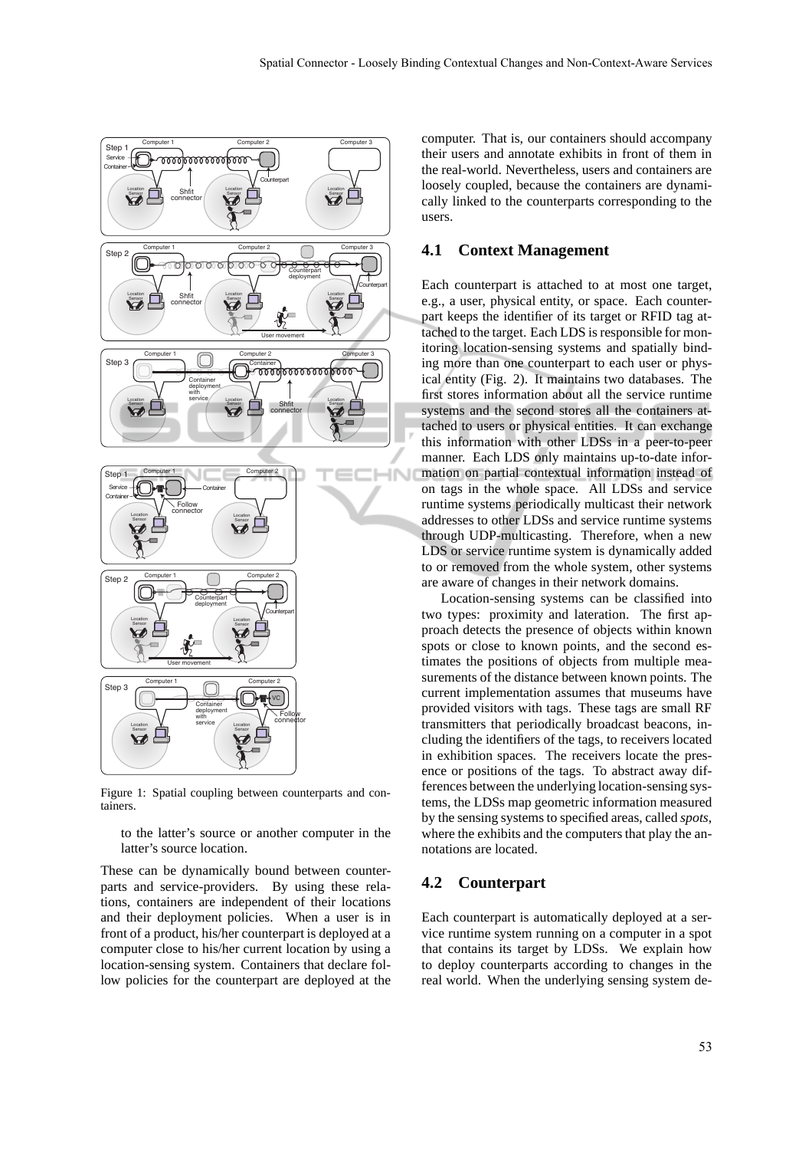

Figure 1: Spatial coupling between counterparts and containers.

to the latter's source or another computer in the latter's source location.

These can be dynamically bound between counterparts and service-providers. By using these relations, containers are independent of their locations and their deployment policies. When a user is in front of a product, his/her counterpart is deployed at a computer close to his/her current location by using a location-sensing system. Containers that declare follow policies for the counterpart are deployed at the computer. That is, our containers should accompany their users and annotate exhibits in front of them in the real-world. Nevertheless, users and containers are loosely coupled, because the containers are dynamically linked to the counterparts corresponding to the users.

#### **4.1 Context Management**

Each counterpart is attached to at most one target, e.g., a user, physical entity, or space. Each counterpart keeps the identifier of its target or RFID tag attached to the target. Each LDS is responsible for monitoring location-sensing systems and spatially binding more than one counterpart to each user or physical entity (Fig. 2). It maintains two databases. The first stores information about all the service runtime systems and the second stores all the containers attached to users or physical entities. It can exchange this information with other LDSs in a peer-to-peer manner. Each LDS only maintains up-to-date information on partial contextual information instead of on tags in the whole space. All LDSs and service runtime systems periodically multicast their network addresses to other LDSs and service runtime systems through UDP-multicasting. Therefore, when a new LDS or service runtime system is dynamically added to or removed from the whole system, other systems are aware of changes in their network domains.

Location-sensing systems can be classified into two types: proximity and lateration. The first approach detects the presence of objects within known spots or close to known points, and the second estimates the positions of objects from multiple measurements of the distance between known points. The current implementation assumes that museums have provided visitors with tags. These tags are small RF transmitters that periodically broadcast beacons, including the identifiers of the tags, to receivers located in exhibition spaces. The receivers locate the presence or positions of the tags. To abstract away differences between the underlying location-sensing systems, the LDSs map geometric information measured by the sensing systems to specified areas, called *spots*, where the exhibits and the computers that play the annotations are located.

## **4.2 Counterpart**

Each counterpart is automatically deployed at a service runtime system running on a computer in a spot that contains its target by LDSs. We explain how to deploy counterparts according to changes in the real world. When the underlying sensing system de-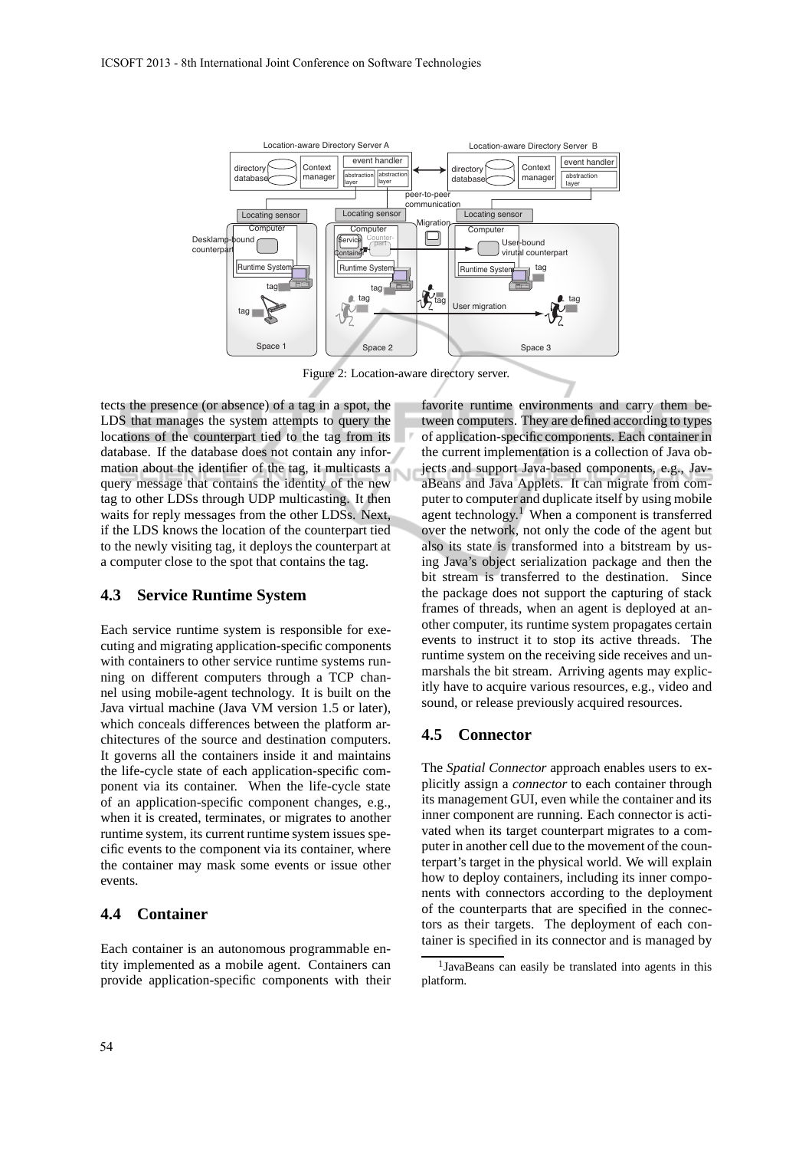

Figure 2: Location-aware directory server.

tects the presence (or absence) of a tag in a spot, the LDS that manages the system attempts to query the locations of the counterpart tied to the tag from its database. If the database does not contain any information about the identifier of the tag, it multicasts a N query message that contains the identity of the new tag to other LDSs through UDP multicasting. It then waits for reply messages from the other LDSs. Next, if the LDS knows the location of the counterpart tied to the newly visiting tag, it deploys the counterpart at a computer close to the spot that contains the tag.

#### **4.3 Service Runtime System**

Each service runtime system is responsible for executing and migrating application-specific components with containers to other service runtime systems running on different computers through a TCP channel using mobile-agent technology. It is built on the Java virtual machine (Java VM version 1.5 or later), which conceals differences between the platform architectures of the source and destination computers. It governs all the containers inside it and maintains the life-cycle state of each application-specific component via its container. When the life-cycle state of an application-specific component changes, e.g., when it is created, terminates, or migrates to another runtime system, its current runtime system issues specific events to the component via its container, where the container may mask some events or issue other events.

#### **4.4 Container**

Each container is an autonomous programmable entity implemented as a mobile agent. Containers can provide application-specific components with their favorite runtime environments and carry them between computers. They are defined according to types of application-specific components. Each container in the current implementation is a collection of Java objects and support Java-based components, e.g., JavaBeans and Java Applets. It can migrate from computer to computer and duplicate itself by using mobile agent technology.<sup>1</sup> When a component is transferred over the network, not only the code of the agent but also its state is transformed into a bitstream by using Java's object serialization package and then the bit stream is transferred to the destination. Since the package does not support the capturing of stack frames of threads, when an agent is deployed at another computer, its runtime system propagates certain events to instruct it to stop its active threads. The runtime system on the receiving side receives and unmarshals the bit stream. Arriving agents may explicitly have to acquire various resources, e.g., video and sound, or release previously acquired resources.

#### **4.5 Connector**

The *Spatial Connector* approach enables users to explicitly assign a *connector* to each container through its management GUI, even while the container and its inner component are running. Each connector is activated when its target counterpart migrates to a computer in another cell due to the movement of the counterpart's target in the physical world. We will explain how to deploy containers, including its inner components with connectors according to the deployment of the counterparts that are specified in the connectors as their targets. The deployment of each container is specified in its connector and is managed by

<sup>&</sup>lt;sup>1</sup>JavaBeans can easily be translated into agents in this platform.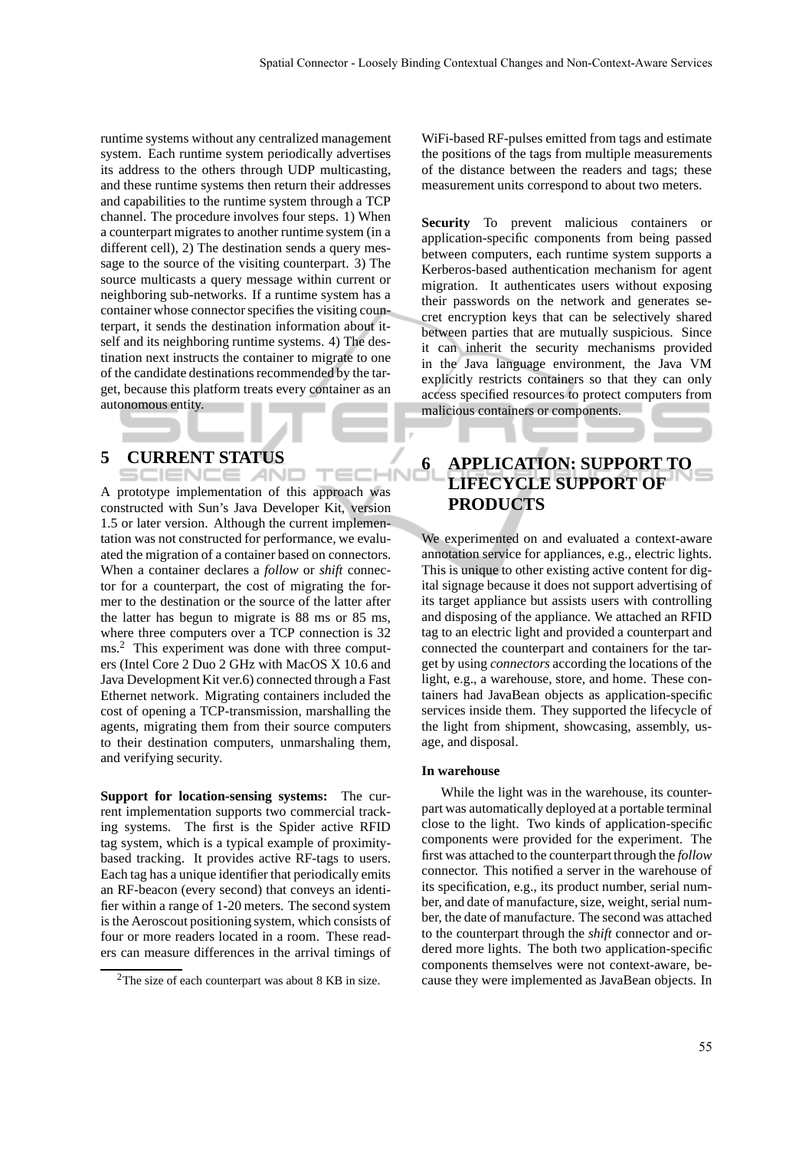runtime systems without any centralized management system. Each runtime system periodically advertises its address to the others through UDP multicasting, and these runtime systems then return their addresses and capabilities to the runtime system through a TCP channel. The procedure involves four steps. 1) When a counterpart migrates to another runtime system (in a different cell), 2) The destination sends a query message to the source of the visiting counterpart. 3) The source multicasts a query message within current or neighboring sub-networks. If a runtime system has a container whose connector specifies the visiting counterpart, it sends the destination information about itself and its neighboring runtime systems. 4) The destination next instructs the container to migrate to one of the candidate destinations recommended by the target, because this platform treats every container as an autonomous entity.

# **5 CURRENT STATUS**

A prototype implementation of this approach was constructed with Sun's Java Developer Kit, version 1.5 or later version. Although the current implementation was not constructed for performance, we evaluated the migration of a container based on connectors. When a container declares a *follow* or *shift* connector for a counterpart, the cost of migrating the former to the destination or the source of the latter after the latter has begun to migrate is 88 ms or 85 ms, where three computers over a TCP connection is 32 ms.<sup>2</sup> This experiment was done with three computers (Intel Core 2 Duo 2 GHz with MacOS X 10.6 and Java Development Kit ver.6) connected through a Fast Ethernet network. Migrating containers included the cost of opening a TCP-transmission, marshalling the agents, migrating them from their source computers to their destination computers, unmarshaling them, and verifying security.

**Support for location-sensing systems:** The current implementation supports two commercial tracking systems. The first is the Spider active RFID tag system, which is a typical example of proximitybased tracking. It provides active RF-tags to users. Each tag has a unique identifier that periodically emits an RF-beacon (every second) that conveys an identifier within a range of 1-20 meters. The second system is the Aeroscout positioning system, which consists of four or more readers located in a room. These readers can measure differences in the arrival timings of WiFi-based RF-pulses emitted from tags and estimate the positions of the tags from multiple measurements of the distance between the readers and tags; these measurement units correspond to about two meters.

**Security** To prevent malicious containers or application-specific components from being passed between computers, each runtime system supports a Kerberos-based authentication mechanism for agent migration. It authenticates users without exposing their passwords on the network and generates secret encryption keys that can be selectively shared between parties that are mutually suspicious. Since it can inherit the security mechanisms provided in the Java language environment, the Java VM explicitly restricts containers so that they can only access specified resources to protect computers from malicious containers or components.

# **6 APPLICATION: SUPPORT TO LIFECYCLE SUPPORT OF PRODUCTS**

We experimented on and evaluated a context-aware annotation service for appliances, e.g., electric lights. This is unique to other existing active content for digital signage because it does not support advertising of its target appliance but assists users with controlling and disposing of the appliance. We attached an RFID tag to an electric light and provided a counterpart and connected the counterpart and containers for the target by using *connectors* according the locations of the light, e.g., a warehouse, store, and home. These containers had JavaBean objects as application-specific services inside them. They supported the lifecycle of the light from shipment, showcasing, assembly, usage, and disposal.

#### **In warehouse**

While the light was in the warehouse, its counterpart was automatically deployed at a portable terminal close to the light. Two kinds of application-specific components were provided for the experiment. The first was attached to the counterpart through the *follow* connector. This notified a server in the warehouse of its specification, e.g., its product number, serial number, and date of manufacture, size, weight, serial number, the date of manufacture. The second was attached to the counterpart through the *shift* connector and ordered more lights. The both two application-specific components themselves were not context-aware, because they were implemented as JavaBean objects. In

<sup>&</sup>lt;sup>2</sup>The size of each counterpart was about 8 KB in size.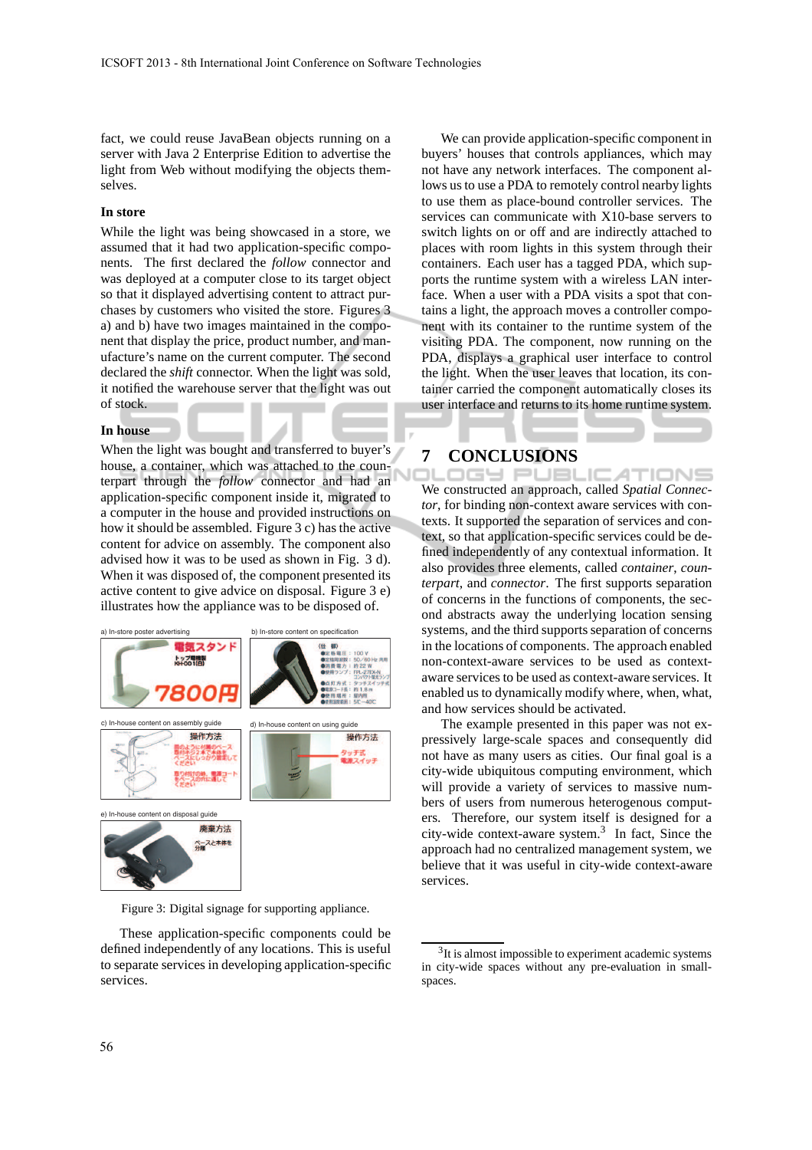fact, we could reuse JavaBean objects running on a server with Java 2 Enterprise Edition to advertise the light from Web without modifying the objects themselves.

#### **In store**

While the light was being showcased in a store, we assumed that it had two application-specific components. The first declared the *follow* connector and was deployed at a computer close to its target object so that it displayed advertising content to attract purchases by customers who visited the store. Figures 3 a) and b) have two images maintained in the component that display the price, product number, and manufacture's name on the current computer. The second declared the *shift* connector. When the light was sold, it notified the warehouse server that the light was out of stock.

#### **In house**

When the light was bought and transferred to buyer's house, a container, which was attached to the counterpart through the *follow* connector and had an application-specific component inside it, migrated to a computer in the house and provided instructions on how it should be assembled. Figure 3 c) has the active content for advice on assembly. The component also advised how it was to be used as shown in Fig. 3 d). When it was disposed of, the component presented its active content to give advice on disposal. Figure 3 e) illustrates how the appliance was to be disposed of.



Figure 3: Digital signage for supporting appliance.

These application-specific components could be defined independently of any locations. This is useful to separate services in developing application-specific services.

We can provide application-specific component in buyers' houses that controls appliances, which may not have any network interfaces. The component allows us to use a PDA to remotely control nearby lights to use them as place-bound controller services. The services can communicate with X10-base servers to switch lights on or off and are indirectly attached to places with room lights in this system through their containers. Each user has a tagged PDA, which supports the runtime system with a wireless LAN interface. When a user with a PDA visits a spot that contains a light, the approach moves a controller component with its container to the runtime system of the visiting PDA. The component, now running on the PDA, displays a graphical user interface to control the light. When the user leaves that location, its container carried the component automatically closes its user interface and returns to its home runtime system.

## **7 CONCLUSIONS**

OGY PUBL .IC ATIONS We constructed an approach, called *Spatial Connector*, for binding non-context aware services with contexts. It supported the separation of services and context, so that application-specific services could be defined independently of any contextual information. It also provides three elements, called *container*, *counterpart*, and *connector*. The first supports separation of concerns in the functions of components, the second abstracts away the underlying location sensing systems, and the third supports separation of concerns in the locations of components. The approach enabled non-context-aware services to be used as contextaware services to be used as context-aware services. It enabled us to dynamically modify where, when, what, and how services should be activated.

The example presented in this paper was not expressively large-scale spaces and consequently did not have as many users as cities. Our final goal is a city-wide ubiquitous computing environment, which will provide a variety of services to massive numbers of users from numerous heterogenous computers. Therefore, our system itself is designed for a city-wide context-aware system.<sup>3</sup> In fact, Since the approach had no centralized management system, we believe that it was useful in city-wide context-aware services.

<sup>&</sup>lt;sup>3</sup>It is almost impossible to experiment academic systems in city-wide spaces without any pre-evaluation in smallspaces.